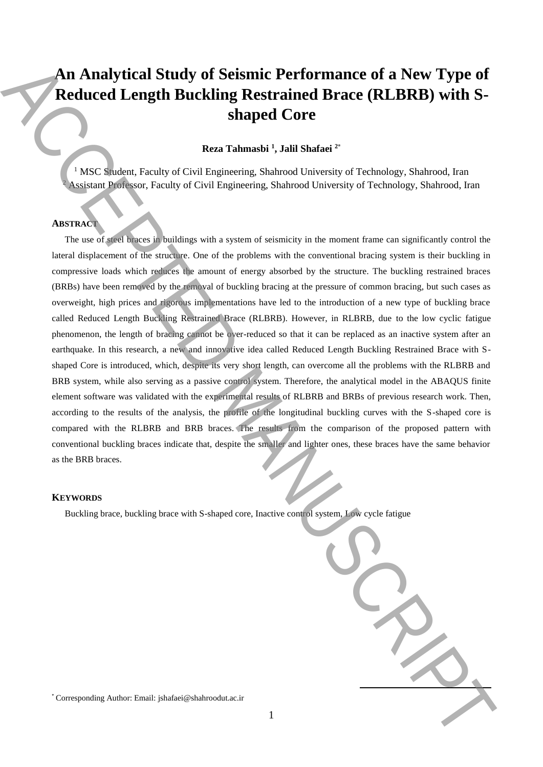# **An Analytical Study of Seismic Performance of a New Type of Reduced Length Buckling Restrained Brace (RLBRB) with Sshaped Core**

**Reza Tahmasbi <sup>1</sup> , Jalil Shafaei <sup>2</sup>**\*

<sup>1</sup> MSC Student, Faculty of Civil Engineering, Shahrood University of Technology, Shahrood, Iran <sup>2</sup> Assistant Professor, Faculty of Civil Engineering, Shahrood University of Technology, Shahrood, Iran

# **ABSTRACT**

The use of steel braces in buildings with a system of seismicity in the moment frame can significantly control the lateral displacement of the structure. One of the problems with the conventional bracing system is their buckling in compressive loads which reduces the amount of energy absorbed by the structure. The buckling restrained braces (BRBs) have been removed by the removal of buckling bracing at the pressure of common bracing, but such cases as overweight, high prices and rigorous implementations have led to the introduction of a new type of buckling brace called Reduced Length Buckling Restrained Brace (RLBRB). However, in RLBRB, due to the low cyclic fatigue phenomenon, the length of bracing cannot be over-reduced so that it can be replaced as an inactive system after an earthquake. In this research, a new and innovative idea called Reduced Length Buckling Restrained Brace with Sshaped Core is introduced, which, despite its very short length, can overcome all the problems with the RLBRB and BRB system, while also serving as a passive control system. Therefore, the analytical model in the ABAQUS finite element software was validated with the experimental results of RLBRB and BRBs of previous research work. Then, according to the results of the analysis, the profile of the longitudinal buckling curves with the S-shaped core is compared with the RLBRB and BRB braces. The results from the comparison of the proposed pattern with conventional buckling braces indicate that, despite the smaller and lighter ones, these braces have the same behavior as the BRB braces. The American Study of Seismic Performance of a New Type of<br>
Reduced Length Buckling Restrained Brace (RLBRB) with S-<br>
them Tahmash <sup>1</sup>, Jalil Shafaei<sup>2</sup><br>
(Six) shows Responding Authorities Shahrood University of Techniques

### **KEYWORDS**

Buckling brace, buckling brace with S-shaped core, Inactive control system, Low cycle fatigue

**.**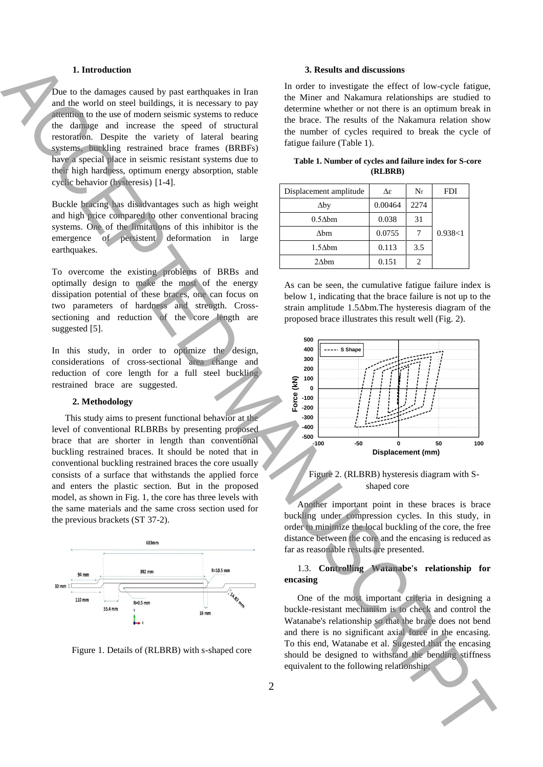# **1. Introduction**

Due to the damages caused by past earthquakes in Iran and the world on steel buildings, it is necessary to pay attention to the use of modern seismic systems to reduce the damage and increase the speed of structural restoration. Despite the variety of lateral bearing systems, buckling restrained brace frames (BRBFs) have a special place in seismic resistant systems due to their high hardness, optimum energy absorption, stable cyclic behavior (hysteresis) [1-4].

Buckle bracing has disadvantages such as high weight and high price compared to other conventional bracing systems. One of the limitations of this inhibitor is the emergence of persistent deformation in large earthquakes.

To overcome the existing problems of BRBs and optimally design to make the most of the energy dissipation potential of these braces, one can focus on two parameters of hardness and strength. Crosssectioning and reduction of the core length are suggested [5].

In this study, in order to optimize the design, considerations of cross-sectional area change and reduction of core length for a full steel buckling restrained brace are suggested.

#### **2. Methodology**

This study aims to present functional behavior at the level of conventional RLBRBs by presenting proposed brace that are shorter in length than conventional buckling restrained braces. It should be noted that in conventional buckling restrained braces the core usually consists of a surface that withstands the applied force and enters the plastic section. But in the proposed model, as shown in Fig. 1, the core has three levels with the same materials and the same cross section used for the previous brackets (ST 37-2).



Figure 1. Details of (RLBRB) with s-shaped core

### **3. Results and discussions**

In order to investigate the effect of low-cycle fatigue, the Miner and Nakamura relationships are studied to determine whether or not there is an optimum break in the brace. The results of the Nakamura relation show the number of cycles required to break the cycle of fatigue failure (Table 1).

| Displacement amplitude | Δε      | $N_f$ | <b>FDI</b> |  |
|------------------------|---------|-------|------------|--|
| $\Delta$ by            | 0.00464 | 2274  |            |  |
| $0.5\Delta b$ m        | 0.038   | 31    |            |  |
| $\Delta$ bm            | 0.0755  |       | 0.938<1    |  |
| $1.5\Delta bm$         | 0.113   | 3.5   |            |  |
| $2\Delta bm$           | 0.151   |       |            |  |

**Table 1. Number of cycles and failure index for S-core (RLBRB)**

As can be seen, the cumulative fatigue failure index is below 1, indicating that the brace failure is not up to the strain amplitude 1.5Δbm.The hysteresis diagram of the proposed brace illustrates this result well (Fig. 2).



Figure 2. (RLBRB) hysteresis diagram with Sshaped core

Another important point in these braces is brace buckling under compression cycles. In this study, in order to minimize the local buckling of the core, the free distance between the core and the encasing is reduced as far as reasonable results are presented.

# 1.3. **Controlling Watanabe's relationship for encasing**

One of the most important criteria in designing a buckle-resistant mechanism is to check and control the Watanabe's relationship so that the brace does not bend and there is no significant axial force in the encasing. To this end, Watanabe et al. Sugested that the encasing should be designed to withstand the bending stiffness